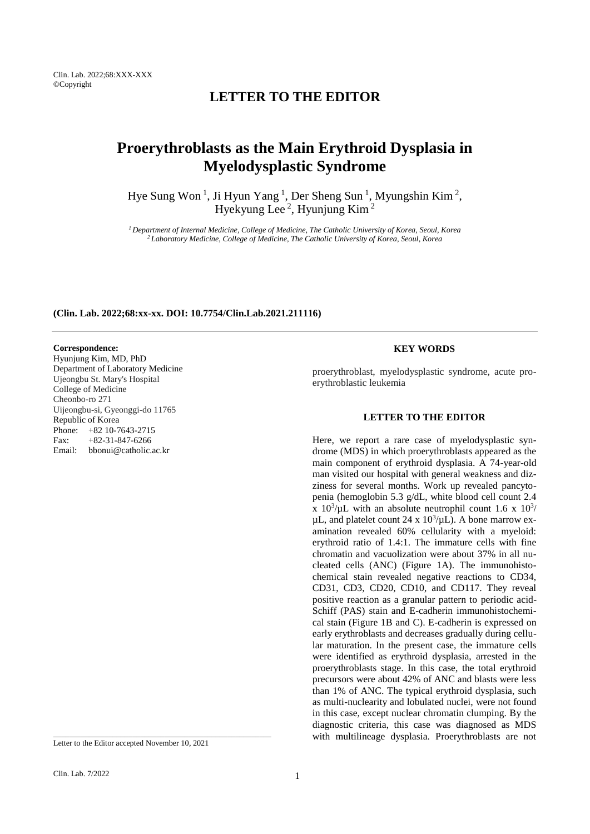# **LETTER TO THE EDITOR**

# **Proerythroblasts as the Main Erythroid Dysplasia in Myelodysplastic Syndrome**

Hye Sung Won<sup>1</sup>, Ji Hyun Yang<sup>1</sup>, Der Sheng Sun<sup>1</sup>, Myungshin Kim<sup>2</sup>, Hyekyung Lee<sup>2</sup>, Hyunjung Kim<sup>2</sup>

*<sup>1</sup>Department of Internal Medicine, College of Medicine, The Catholic University of Korea, Seoul, Korea <sup>2</sup>Laboratory Medicine, College of Medicine, The Catholic University of Korea, Seoul, Korea*

#### **(Clin. Lab. 2022;68:xx-xx. DOI: 10.7754/Clin.Lab.2021.211116)**

## **Correspondence:**

Hyunjung Kim, MD, PhD Department of Laboratory Medicine Ujeongbu St. Mary's Hospital College of Medicine Cheonbo-ro 271 Uijeongbu-si, Gyeonggi-do 11765 Republic of Korea Phone: +82 10-7643-2715 Fax: +82-31-847-6266 Email: bbonui@catholic.ac.kr

Letter to the Editor accepted November 10, 2021

\_\_\_\_\_\_\_\_\_\_\_\_\_\_\_\_\_\_\_\_\_\_\_\_\_\_\_\_\_\_\_\_\_\_\_\_\_\_\_\_\_\_\_\_\_\_\_\_\_\_\_\_\_\_\_

#### **KEY WORDS**

proerythroblast, myelodysplastic syndrome, acute proerythroblastic leukemia

### **LETTER TO THE EDITOR**

Here, we report a rare case of myelodysplastic syndrome (MDS) in which proerythroblasts appeared as the main component of erythroid dysplasia. A 74-year-old man visited our hospital with general weakness and dizziness for several months. Work up revealed pancytopenia (hemoglobin 5.3 g/dL, white blood cell count 2.4 x  $10^3/\mu$ L with an absolute neutrophil count 1.6 x  $10^3/\mu$  $\mu$ L, and platelet count 24 x 10<sup>3</sup>/ $\mu$ L). A bone marrow examination revealed 60% cellularity with a myeloid: erythroid ratio of 1.4:1. The immature cells with fine chromatin and vacuolization were about 37% in all nucleated cells (ANC) (Figure 1A). The immunohistochemical stain revealed negative reactions to CD34, CD31, CD3, CD20, CD10, and CD117. They reveal positive reaction as a granular pattern to periodic acid-Schiff (PAS) stain and E-cadherin immunohistochemical stain (Figure 1B and C). E-cadherin is expressed on early erythroblasts and decreases gradually during cellular maturation. In the present case, the immature cells were identified as erythroid dysplasia, arrested in the proerythroblasts stage. In this case, the total erythroid precursors were about 42% of ANC and blasts were less than 1% of ANC. The typical erythroid dysplasia, such as multi-nuclearity and lobulated nuclei, were not found in this case, except nuclear chromatin clumping. By the diagnostic criteria, this case was diagnosed as MDS with multilineage dysplasia. Proerythroblasts are not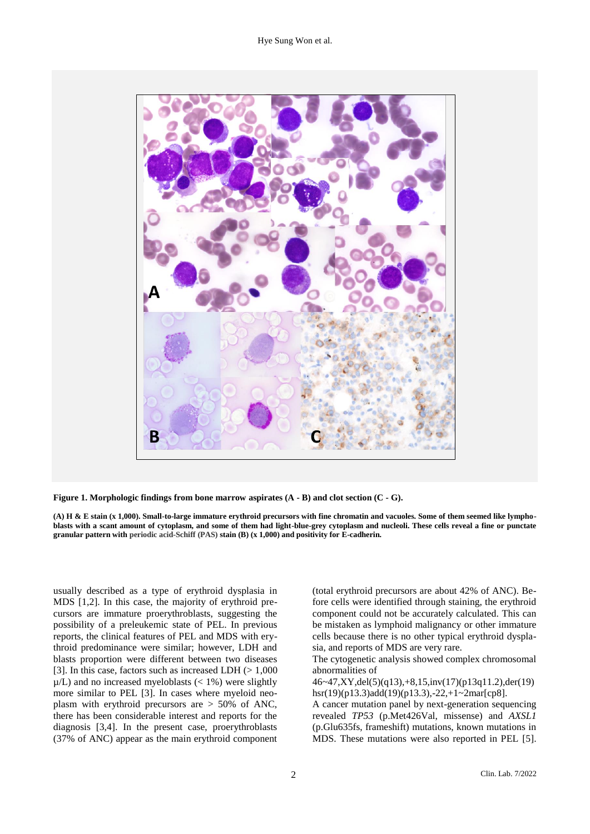

**Figure 1. Morphologic findings from bone marrow aspirates (A - B) and clot section (C - G).**

**(A) H & E stain (x 1,000). Small-to-large immature erythroid precursors with fine chromatin and vacuoles. Some of them seemed like lymphoblasts with a scant amount of cytoplasm, and some of them had light-blue-grey cytoplasm and nucleoli. These cells reveal a fine or punctate granular pattern with periodic acid-Schiff (PAS) stain (B) (x 1,000) and positivity for E-cadherin.**

usually described as a type of erythroid dysplasia in MDS [1,2]. In this case, the majority of erythroid precursors are immature proerythroblasts, suggesting the possibility of a preleukemic state of PEL. In previous reports, the clinical features of PEL and MDS with erythroid predominance were similar; however, LDH and blasts proportion were different between two diseases [3]. In this case, factors such as increased LDH  $(> 1,000$  $\mu/L$ ) and no increased myeloblasts (< 1%) were slightly more similar to PEL [3]. In cases where myeloid neoplasm with erythroid precursors are > 50% of ANC, there has been considerable interest and reports for the diagnosis [3,4]. In the present case, proerythroblasts (37% of ANC) appear as the main erythroid component

(total erythroid precursors are about 42% of ANC). Before cells were identified through staining, the erythroid component could not be accurately calculated. This can be mistaken as lymphoid malignancy or other immature cells because there is no other typical erythroid dysplasia, and reports of MDS are very rare.

The cytogenetic analysis showed complex chromosomal abnormalities of

46~47,XY,del(5)(q13),+8,15,inv(17)(p13q11.2),der(19) hsr(19)(p13.3)add(19)(p13.3),-22,+1~2mar[cp8].

A cancer mutation panel by next-generation sequencing revealed *TP53* (p.Met426Val, missense) and *AXSL1* (p.Glu635fs, frameshift) mutations, known mutations in MDS. These mutations were also reported in PEL [5].